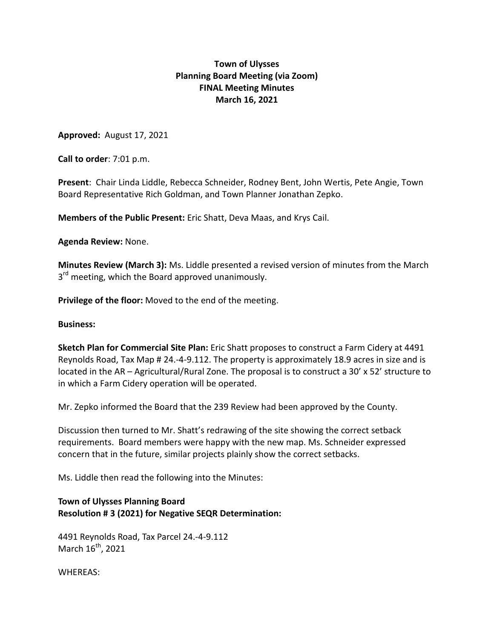## **Town of Ulysses Planning Board Meeting (via Zoom) FINAL Meeting Minutes March 16, 2021**

**Approved:** August 17, 2021

**Call to order**: 7:01 p.m.

**Present**: Chair Linda Liddle, Rebecca Schneider, Rodney Bent, John Wertis, Pete Angie, Town Board Representative Rich Goldman, and Town Planner Jonathan Zepko.

**Members of the Public Present:** Eric Shatt, Deva Maas, and Krys Cail.

**Agenda Review:** None.

**Minutes Review (March 3):** Ms. Liddle presented a revised version of minutes from the March 3<sup>rd</sup> meeting, which the Board approved unanimously.

**Privilege of the floor:** Moved to the end of the meeting.

#### **Business:**

**Sketch Plan for Commercial Site Plan:** Eric Shatt proposes to construct a Farm Cidery at 4491 Reynolds Road, Tax Map # 24.-4-9.112. The property is approximately 18.9 acres in size and is located in the AR – Agricultural/Rural Zone. The proposal is to construct a 30' x 52' structure to in which a Farm Cidery operation will be operated.

Mr. Zepko informed the Board that the 239 Review had been approved by the County.

Discussion then turned to Mr. Shatt's redrawing of the site showing the correct setback requirements. Board members were happy with the new map. Ms. Schneider expressed concern that in the future, similar projects plainly show the correct setbacks.

Ms. Liddle then read the following into the Minutes:

### **Town of Ulysses Planning Board Resolution # 3 (2021) for Negative SEQR Determination:**

4491 Reynolds Road, Tax Parcel 24.-4-9.112 March  $16^{th}$ , 2021

WHEREAS: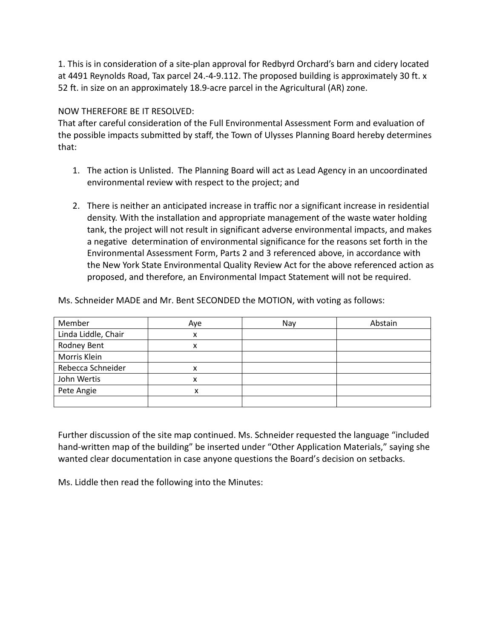1. This is in consideration of a site-plan approval for Redbyrd Orchard's barn and cidery located at 4491 Reynolds Road, Tax parcel 24.-4-9.112. The proposed building is approximately 30 ft. x 52 ft. in size on an approximately 18.9-acre parcel in the Agricultural (AR) zone.

### NOW THEREFORE BE IT RESOLVED:

That after careful consideration of the Full Environmental Assessment Form and evaluation of the possible impacts submitted by staff, the Town of Ulysses Planning Board hereby determines that:

- 1. The action is Unlisted. The Planning Board will act as Lead Agency in an uncoordinated environmental review with respect to the project; and
- 2. There is neither an anticipated increase in traffic nor a significant increase in residential density. With the installation and appropriate management of the waste water holding tank, the project will not result in significant adverse environmental impacts, and makes a negative determination of environmental significance for the reasons set forth in the Environmental Assessment Form, Parts 2 and 3 referenced above, in accordance with the New York State Environmental Quality Review Act for the above referenced action as proposed, and therefore, an Environmental Impact Statement will not be required.

| Member              | Aye | Nay | Abstain |
|---------------------|-----|-----|---------|
| Linda Liddle, Chair | x   |     |         |
| Rodney Bent         |     |     |         |
| Morris Klein        |     |     |         |
| Rebecca Schneider   |     |     |         |
| John Wertis         |     |     |         |
| Pete Angie          | х   |     |         |
|                     |     |     |         |

Ms. Schneider MADE and Mr. Bent SECONDED the MOTION, with voting as follows:

Further discussion of the site map continued. Ms. Schneider requested the language "included hand-written map of the building" be inserted under "Other Application Materials," saying she wanted clear documentation in case anyone questions the Board's decision on setbacks.

Ms. Liddle then read the following into the Minutes: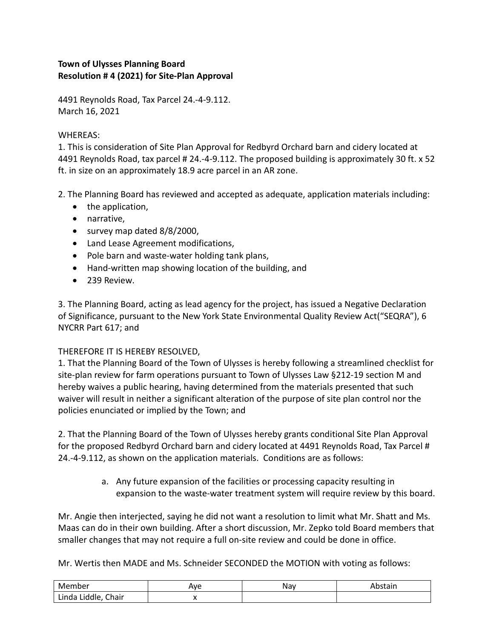# **Town of Ulysses Planning Board Resolution # 4 (2021) for Site-Plan Approval**

4491 Reynolds Road, Tax Parcel 24.-4-9.112. March 16, 2021

## WHEREAS:

1. This is consideration of Site Plan Approval for Redbyrd Orchard barn and cidery located at 4491 Reynolds Road, tax parcel # 24.-4-9.112. The proposed building is approximately 30 ft. x 52 ft. in size on an approximately 18.9 acre parcel in an AR zone.

2. The Planning Board has reviewed and accepted as adequate, application materials including:

- the application,
- narrative,
- survey map dated 8/8/2000,
- Land Lease Agreement modifications,
- Pole barn and waste-water holding tank plans,
- Hand-written map showing location of the building, and
- 239 Review.

3. The Planning Board, acting as lead agency for the project, has issued a Negative Declaration of Significance, pursuant to the New York State Environmental Quality Review Act("SEQRA"), 6 NYCRR Part 617; and

## THEREFORE IT IS HEREBY RESOLVED,

1. That the Planning Board of the Town of Ulysses is hereby following a streamlined checklist for site-plan review for farm operations pursuant to Town of Ulysses Law §212-19 section M and hereby waives a public hearing, having determined from the materials presented that such waiver will result in neither a significant alteration of the purpose of site plan control nor the policies enunciated or implied by the Town; and

2. That the Planning Board of the Town of Ulysses hereby grants conditional Site Plan Approval for the proposed Redbyrd Orchard barn and cidery located at 4491 Reynolds Road, Tax Parcel # 24.-4-9.112, as shown on the application materials. Conditions are as follows:

> a. Any future expansion of the facilities or processing capacity resulting in expansion to the waste-water treatment system will require review by this board.

Mr. Angie then interjected, saying he did not want a resolution to limit what Mr. Shatt and Ms. Maas can do in their own building. After a short discussion, Mr. Zepko told Board members that smaller changes that may not require a full on-site review and could be done in office.

Mr. Wertis then MADE and Ms. Schneider SECONDED the MOTION with voting as follows:

| Member                           | Ave      | Nav | ,,,,,,<br>'Stdii. |
|----------------------------------|----------|-----|-------------------|
| Liddle,<br>Chair<br>.<br>Linda 1 | $\cdots$ |     |                   |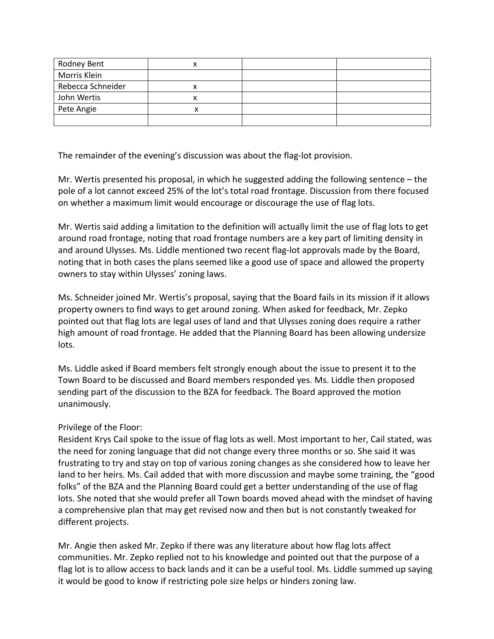| Rodney Bent       | v<br>Λ |  |
|-------------------|--------|--|
| Morris Klein      |        |  |
| Rebecca Schneider | ́      |  |
| John Wertis       | x      |  |
| Pete Angie        | x      |  |
|                   |        |  |

The remainder of the evening's discussion was about the flag-lot provision.

Mr. Wertis presented his proposal, in which he suggested adding the following sentence – the pole of a lot cannot exceed 25% of the lot's total road frontage. Discussion from there focused on whether a maximum limit would encourage or discourage the use of flag lots.

Mr. Wertis said adding a limitation to the definition will actually limit the use of flag lots to get around road frontage, noting that road frontage numbers are a key part of limiting density in and around Ulysses. Ms. Liddle mentioned two recent flag-lot approvals made by the Board, noting that in both cases the plans seemed like a good use of space and allowed the property owners to stay within Ulysses' zoning laws.

Ms. Schneider joined Mr. Wertis's proposal, saying that the Board fails in its mission if it allows property owners to find ways to get around zoning. When asked for feedback, Mr. Zepko pointed out that flag lots are legal uses of land and that Ulysses zoning does require a rather high amount of road frontage. He added that the Planning Board has been allowing undersize lots.

Ms. Liddle asked if Board members felt strongly enough about the issue to present it to the Town Board to be discussed and Board members responded yes. Ms. Liddle then proposed sending part of the discussion to the BZA for feedback. The Board approved the motion unanimously.

## Privilege of the Floor:

Resident Krys Cail spoke to the issue of flag lots as well. Most important to her, Cail stated, was the need for zoning language that did not change every three months or so. She said it was frustrating to try and stay on top of various zoning changes as she considered how to leave her land to her heirs. Ms. Cail added that with more discussion and maybe some training, the "good folks" of the BZA and the Planning Board could get a better understanding of the use of flag lots. She noted that she would prefer all Town boards moved ahead with the mindset of having a comprehensive plan that may get revised now and then but is not constantly tweaked for different projects.

Mr. Angie then asked Mr. Zepko if there was any literature about how flag lots affect communities. Mr. Zepko replied not to his knowledge and pointed out that the purpose of a flag lot is to allow access to back lands and it can be a useful tool. Ms. Liddle summed up saying it would be good to know if restricting pole size helps or hinders zoning law.